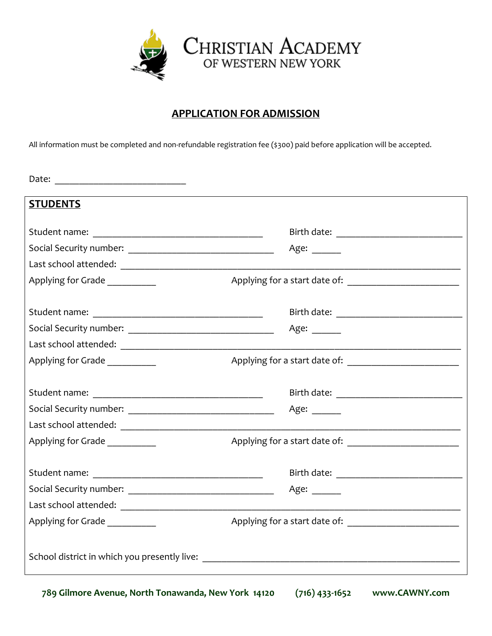

### **APPLICATION FOR ADMISSION**

All information must be completed and non-refundable registration fee (\$300) paid before application will be accepted.

| <b>STUDENTS</b>                |                                                                                                                                                                                                                                |
|--------------------------------|--------------------------------------------------------------------------------------------------------------------------------------------------------------------------------------------------------------------------------|
|                                |                                                                                                                                                                                                                                |
|                                | Age: $\frac{ }{ }$                                                                                                                                                                                                             |
|                                |                                                                                                                                                                                                                                |
| Applying for Grade             |                                                                                                                                                                                                                                |
|                                |                                                                                                                                                                                                                                |
|                                | Age: $\_\_$                                                                                                                                                                                                                    |
|                                |                                                                                                                                                                                                                                |
| Applying for Grade             |                                                                                                                                                                                                                                |
|                                |                                                                                                                                                                                                                                |
|                                | Age: $\frac{ }{ }$                                                                                                                                                                                                             |
|                                |                                                                                                                                                                                                                                |
| Applying for Grade             |                                                                                                                                                                                                                                |
|                                | Birth date: The contract of the contract of the contract of the contract of the contract of the contract of the contract of the contract of the contract of the contract of the contract of the contract of the contract of th |
|                                | Age: $\frac{1}{\sqrt{1-\frac{1}{2}}\cdot\frac{1}{\sqrt{1-\frac{1}{2}}}}$                                                                                                                                                       |
|                                |                                                                                                                                                                                                                                |
| Applying for Grade ___________ |                                                                                                                                                                                                                                |
|                                |                                                                                                                                                                                                                                |

**789 Gilmore Avenue, North Tonawanda, New York 14120 (716) 433-1652 www.CAWNY.com**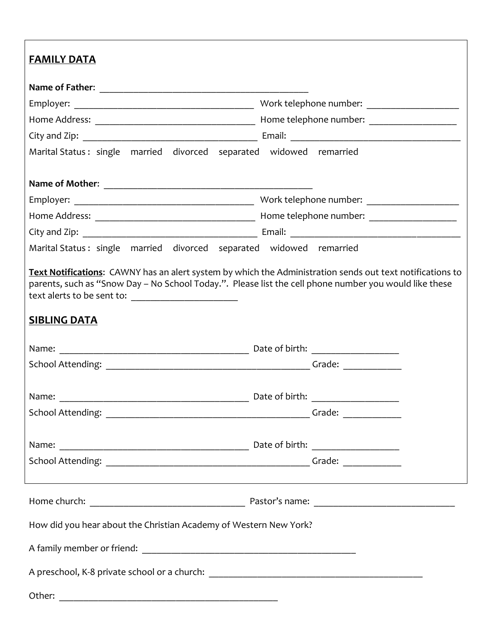| <b>FAMILY DATA</b>                                                                                                                                                                                                                         |                      |
|--------------------------------------------------------------------------------------------------------------------------------------------------------------------------------------------------------------------------------------------|----------------------|
|                                                                                                                                                                                                                                            |                      |
|                                                                                                                                                                                                                                            |                      |
|                                                                                                                                                                                                                                            |                      |
|                                                                                                                                                                                                                                            |                      |
| Marital Status: single married divorced separated widowed remarried                                                                                                                                                                        |                      |
|                                                                                                                                                                                                                                            |                      |
|                                                                                                                                                                                                                                            |                      |
|                                                                                                                                                                                                                                            |                      |
|                                                                                                                                                                                                                                            |                      |
|                                                                                                                                                                                                                                            |                      |
| Marital Status: single married divorced separated widowed remarried                                                                                                                                                                        |                      |
| Text Notifications: CAWNY has an alert system by which the Administration sends out text notifications to<br>parents, such as "Snow Day - No School Today.". Please list the cell phone number you would like these<br><b>SIBLING DATA</b> |                      |
|                                                                                                                                                                                                                                            |                      |
|                                                                                                                                                                                                                                            | Grade: $\frac{1}{2}$ |
|                                                                                                                                                                                                                                            |                      |
| <b>Date of birth:</b> Date of birth:<br>Name:                                                                                                                                                                                              |                      |
|                                                                                                                                                                                                                                            |                      |
|                                                                                                                                                                                                                                            |                      |
|                                                                                                                                                                                                                                            |                      |
|                                                                                                                                                                                                                                            |                      |
| How did you hear about the Christian Academy of Western New York?                                                                                                                                                                          |                      |
|                                                                                                                                                                                                                                            |                      |
|                                                                                                                                                                                                                                            |                      |
|                                                                                                                                                                                                                                            |                      |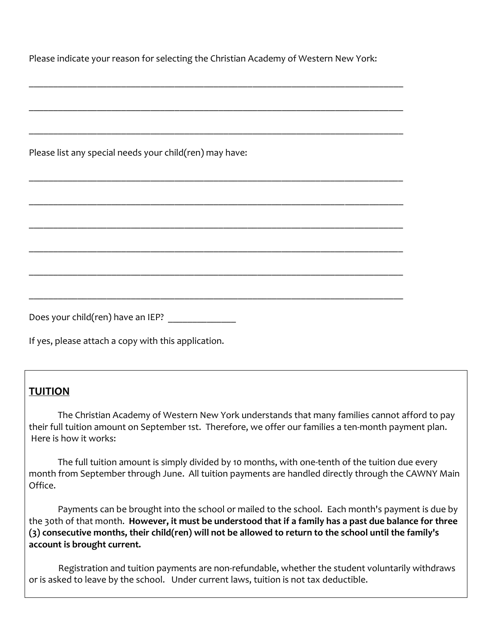Please indicate your reason for selecting the Christian Academy of Western New York:

\_\_\_\_\_\_\_\_\_\_\_\_\_\_\_\_\_\_\_\_\_\_\_\_\_\_\_\_\_\_\_\_\_\_\_\_\_\_\_\_\_\_\_\_\_\_\_\_\_\_\_\_\_\_\_\_\_\_\_\_\_\_\_\_\_\_\_\_\_\_\_\_\_\_\_\_\_

| Please list any special needs your child(ren) may have: |
|---------------------------------------------------------|
|                                                         |
|                                                         |
|                                                         |
|                                                         |
|                                                         |
| Does your child(ren) have an IEP?                       |

If yes, please attach a copy with this application.

## **TUITION**

The Christian Academy of Western New York understands that many families cannot afford to pay their full tuition amount on September 1st. Therefore, we offer our families a ten-month payment plan. Here is how it works:

The full tuition amount is simply divided by 10 months, with one-tenth of the tuition due every month from September through June. All tuition payments are handled directly through the CAWNY Main Office.

Payments can be brought into the school or mailed to the school. Each month's payment is due by the 30th of that month. **However, it must be understood that if a family has a past due balance for three (3) consecutive months, their child(ren) will not be allowed to return to the school until the family's account is brought current.**

 Registration and tuition payments are non-refundable, whether the student voluntarily withdraws or is asked to leave by the school. Under current laws, tuition is not tax deductible.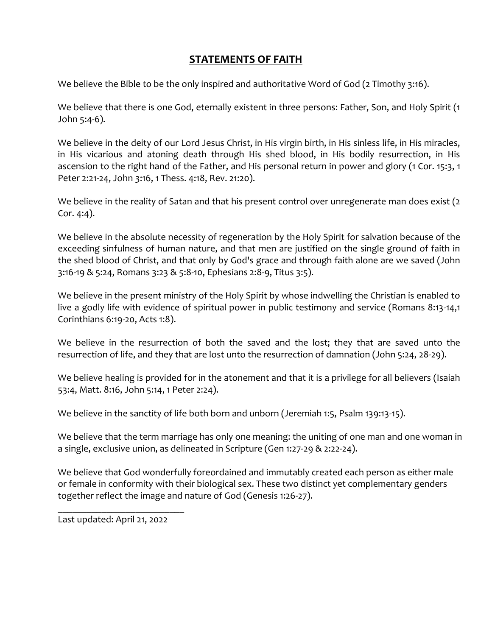# **STATEMENTS OF FAITH**

We believe the Bible to be the only inspired and authoritative Word of God (2 Timothy 3:16).

We believe that there is one God, eternally existent in three persons: Father, Son, and Holy Spirit (1 John 5:4-6).

We believe in the deity of our Lord Jesus Christ, in His virgin birth, in His sinless life, in His miracles, in His vicarious and atoning death through His shed blood, in His bodily resurrection, in His ascension to the right hand of the Father, and His personal return in power and glory (1 Cor. 15:3, 1 Peter 2:21-24, John 3:16, 1 Thess. 4:18, Rev. 21:20).

We believe in the reality of Satan and that his present control over unregenerate man does exist (2 Cor. 4:4).

We believe in the absolute necessity of regeneration by the Holy Spirit for salvation because of the exceeding sinfulness of human nature, and that men are justified on the single ground of faith in the shed blood of Christ, and that only by God's grace and through faith alone are we saved (John 3:16-19 & 5:24, Romans 3:23 & 5:8-10, Ephesians 2:8-9, Titus 3:5).

We believe in the present ministry of the Holy Spirit by whose indwelling the Christian is enabled to live a godly life with evidence of spiritual power in public testimony and service (Romans 8:13-14,1 Corinthians 6:19-20, Acts 1:8).

We believe in the resurrection of both the saved and the lost; they that are saved unto the resurrection of life, and they that are lost unto the resurrection of damnation (John 5:24, 28-29).

We believe healing is provided for in the atonement and that it is a privilege for all believers (Isaiah 53:4, Matt. 8:16, John 5:14, 1 Peter 2:24).

We believe in the sanctity of life both born and unborn (Jeremiah 1:5, Psalm 139:13-15).

We believe that the term marriage has only one meaning: the uniting of one man and one woman in a single, exclusive union, as delineated in Scripture (Gen 1:27-29 & 2:22-24).

We believe that God wonderfully foreordained and immutably created each person as either male or female in conformity with their biological sex. These two distinct yet complementary genders together reflect the image and nature of God (Genesis 1:26-27).

Last updated: April 21, 2022

\_\_\_\_\_\_\_\_\_\_\_\_\_\_\_\_\_\_\_\_\_\_\_\_\_\_